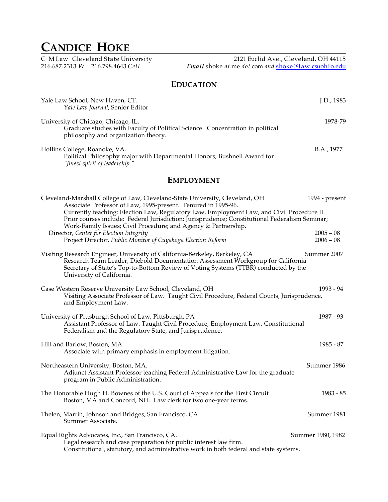# **CANDICE HOKE**

C|M Law Cleveland State University 2121 Euclid Ave., Cleveland, OH 44115 216.687.2313 *W* 216.798.4643 *Cell**Email* shoke *at* me *dot* com *and* shoke@law.csuohio.edu

## **EDUCATION**

| Yale Law School, New Haven, CT.<br>Yale Law Journal, Senior Editor                                                                                           | I.D., 1983 |
|--------------------------------------------------------------------------------------------------------------------------------------------------------------|------------|
| University of Chicago, Chicago, IL.<br>Graduate studies with Faculty of Political Science. Concentration in political<br>philosophy and organization theory. | 1978-79    |
| Hollins College, Roanoke, VA.<br>Political Philosophy major with Departmental Honors; Bushnell Award for<br>"finest spirit of leadership."                   | B.A., 1977 |

## **EMPLOYMENT**

| Cleveland-Marshall College of Law, Cleveland-State University, Cleveland, OH<br>Associate Professor of Law, 1995-present. Tenured in 1995-96.                                                                                                                                      | 1994 - present             |
|------------------------------------------------------------------------------------------------------------------------------------------------------------------------------------------------------------------------------------------------------------------------------------|----------------------------|
| Currently teaching: Election Law, Regulatory Law, Employment Law, and Civil Procedure II.<br>Prior courses include: Federal Jurisdiction; Jurisprudence; Constitutional Federalism Seminar;<br>Work-Family Issues; Civil Procedure; and Agency & Partnership.                      |                            |
| Director, Center for Election Integrity<br>Project Director, Public Monitor of Cuyahoga Election Reform                                                                                                                                                                            | $2005 - 08$<br>$2006 - 08$ |
| Visiting Research Engineer, University of California-Berkeley, Berkeley, CA<br>Research Team Leader, Diebold Documentation Assessment Workgroup for California<br>Secretary of State's Top-to-Bottom Review of Voting Systems (TTBR) conducted by the<br>University of California. | Summer 2007                |
| Case Western Reserve University Law School, Cleveland, OH<br>Visiting Associate Professor of Law. Taught Civil Procedure, Federal Courts, Jurisprudence,<br>and Employment Law.                                                                                                    | 1993 - 94                  |
| University of Pittsburgh School of Law, Pittsburgh, PA<br>Assistant Professor of Law. Taught Civil Procedure, Employment Law, Constitutional<br>Federalism and the Regulatory State, and Jurisprudence.                                                                            | $1987 - 93$                |
| Hill and Barlow, Boston, MA.<br>Associate with primary emphasis in employment litigation.                                                                                                                                                                                          | 1985 - 87                  |
| Northeastern University, Boston, MA.<br>Adjunct Assistant Professor teaching Federal Administrative Law for the graduate<br>program in Public Administration.                                                                                                                      | Summer 1986                |
| The Honorable Hugh H. Bownes of the U.S. Court of Appeals for the First Circuit<br>Boston, MA and Concord, NH. Law clerk for two one-year terms.                                                                                                                                   | $1983 - 85$                |
| Thelen, Marrin, Johnson and Bridges, San Francisco, CA.<br>Summer Associate.                                                                                                                                                                                                       | Summer 1981                |
| Equal Rights Advocates, Inc., San Francisco, CA.<br>Legal research and case preparation for public interest law firm.<br>Constitutional, statutory, and administrative work in both federal and state systems.                                                                     | Summer 1980, 1982          |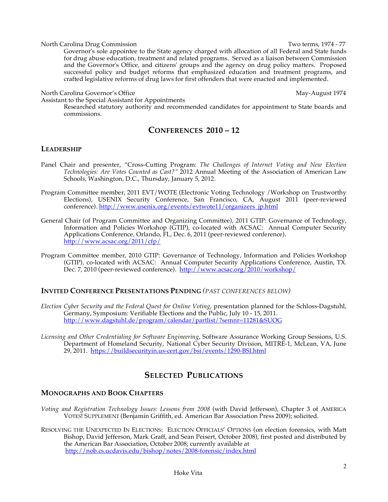#### North Carolina Drug Commission **North Carolina Drug Commission** Two terms, 1974 - 77

Governor's sole appointee to the State agency charged with allocation of all Federal and State funds for drug abuse education, treatment and related programs. Served as a liaison between Commission and the Governor's Office, and citizens' groups and the agency on drug policy matters. Proposed successful policy and budget reforms that emphasized education and treatment programs, and crafted legislative reforms of drug laws for first offenders that were enacted and implemented.

#### North Carolina Governor's Office May-August 1974

Assistant to the Special Assistant for Appointments

Researched statutory authority and recommended candidates for appointment to State boards and commissions.

## **CONFERENCES 2010 – 12**

#### **LEADERSHIP**

- Panel Chair and presenter, "Cross-Cutting Program: *The Challenges of Internet Voting and New Election Technologies: Are Votes Counted as Cast?"* 2012 Annual Meeting of the Association of American Law Schools, Washington, D.C., Thursday, January 5, 2012.
- Program Committee member, 2011 EVT/WOTE (Electronic Voting Technology /Workshop on Trustworthy Elections), USENIX Security Conference, San Francisco, CA, August 2011 (peer-reviewed conference). http://www.usenix.org/events/evtwote11/organizers\_jp.html
- General Chair (of Program Committee and Organizing Committee), 2011 GTIP: Governance of Technology, Information and Policies Workshop (GTIP), co-located with ACSAC: Annual Computer Security Applications Conference*,* Orlando, FL, Dec. 6, 2011 (peer-reviewed conference). http://www.acsac.org/2011/cfp/
- Program Committee member, 2010 GTIP: Governance of Technology, Information and Policies Workshop (GTIP), co-located with ACSAC: Annual Computer Security Applications Conference*,* Austin, TX. Dec. 7, 2010 (peer-reviewed conference). http://www.acsac.org/2010/workshop/

#### **INVITED CONFERENCE PRESENTATIONS PENDING** *(PAST CONFERENCES BELOW)*

*Election Cyber Security and the Federal Quest for Online Voting*, presentation planned for the Schloss-Dagstuhl, Germany, Symposium: Verifiable Elections and the Public, July 10 - 15, 2011. http://www.dagstuhl.de/program/calendar/partlist/?semnr=11281&SUOG

*Licensing and Other Credentialing for Software Engineering*, Software Assurance Working Group Sessions, U.S. Department of Homeland Security, National Cyber Security Division, MITRE-1, McLean, VA, June 29, 2011. https://buildsecurityin.us-cert.gov/bsi/events/1290-BSI.html

## **SELECTED PUBLICATIONS**

#### **MONOGRAPHS AND BOOK CHAPTERS**

- *Voting and Registration Technology Issues: Lessons from 2008* (with David Jefferson), Chapter 3 of AMERICA VOTES! SUPPLEMENT (Benjamin Griffith, ed. American Bar Association Press 2009); solicited.
- RESOLVING THE UNEXPECTED IN ELECTIONS: ELECTION OFFICIALS' OPTIONS (on election forensics, with Matt Bishop, David Jefferson, Mark Graff, and Sean Peisert, October 2008), first posted and distributed by the American Bar Association, October 2008; currently available at http://nob.cs.ucdavis.edu/bishop/notes/2008-forensic/index.html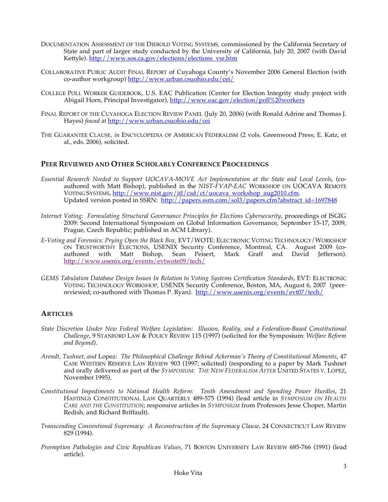- DOCUMENTATION ASSESSMENT OF THE DIEBOLD VOTING SYSTEMS*,* commissioned by the California Secretary of State and part of larger study conducted by the University of California, July 20, 2007 (with David Kettyle). http://www.sos.ca.gov/elections/elections\_vsr.htm
- COLLABORATIVE PUBLIC AUDIT FINAL REPORT of Cuyahoga County's November 2006 General Election (with co-author workgroup) http://www.urban.csuohio.edu/cei/
- COLLEGE POLL WORKER GUIDEBOOK, U.S. EAC Publication (Center for Election Integrity study project with Abigail Horn, Principal Investigator), http://www.eac.gov/election/poll%20workers
- FINAL REPORT OF THE CUYAHOGA ELECTION REVIEW PANEL (July 20, 2006) (with Ronald Adrine and Thomas J. Hayes) *found at* http://www.urban.csuohio.edu/cei
- THE GUARANTEE CLAUSE*, in* ENCYCLOPEDIA OF AMERICAN FEDERALISM (2 vols. Greenwood Press; E. Katz, et al., eds. 2006), solicited.

#### **PEER REVIEWED AND OTHER SCHOLARLY CONFERENCE PROCEEDINGS**

- *Essential Research Needed to Support UOCAVA-MOVE Act Implementation at the State and Local Levels*, (coauthored with Matt Bishop), published in the *NIST-FVAP-EAC* WORKSHOP ON UOCAVA REMOTE VOTING SYSTEMS, http://www.nist.gov/itl/csd/ct/uocava\_workshop\_aug2010.cfm. Updated version posted in SSRN: http://papers.ssrn.com/sol3/papers.cfm?abstract\_id=1697848
- *Internet Voting: Formulating Structural Governance Principles for Elections Cybersecurity*, proceedings of ISGIG 2009: Second International Symposium on Global Information Governance, September 15-17, 2009, Prague, Czech Republic; published in ACM Library).
- *E-Voting and Forensics: Prying Open the Black Box,* EVT/WOTE: ELECTRONIC VOTING TECHNOLOGY/WORKSHOP ON TRUSTWORTHY ELECTIONS, USENIX Security Conference, Montreal, CA. August 2009 (coauthored with Matt Bishop, Sean Peisert, Mark Graff and David Jefferson). http://www.usenix.org/events/evtwote09/tech/
- *GEMS Tabulation Database Design Issues In Relation to Voting Systems Certification Standards*, EVT: ELECTRONIC VOTING TECHNOLOGY WORKSHOP, USENIX Security Conference, Boston, MA, August 6, 2007 (peerreviewed; co-authored with Thomas P. Ryan). http://www.usenix.org/events/evt07/tech/

#### **ARTICLES**

- *State Discretion Under New Federal Welfare Legislation: Illusion, Reality, and a Federalism-Based Constitutional Challenge*, 9 STANFORD LAW & POLICY REVIEW 115 (1997) (solicited for the Symposium: *Welfare Reform and Beyond*).
- *Arendt, Tushnet, and* Lopez: *The Philosophical Challenge Behind Ackerman's Theory of Constitutional Moments*, 47 CASE WESTERN RESERVE LAW REVIEW 903 (1997; solicited) (responding to a paper by Mark Tushnet and orally delivered as part of the *SYMPOSIUM: THE NEW FEDERALISM AFTER* UNITED STATES V. LOPEZ, November 1995).
- *Constitutional Impediments to National Health Reform: Tenth Amendment and Spending Power Hurdles*, 21 HASTINGS CONSTITUTIONAL LAW QUARTERLY 489-575 (1994) (lead article in *SYMPOSIUM ON HEALTH CARE AND THE CONSTITUTION*; responsive articles in *SYMPOSIUM* from Professors Jesse Choper, Martin Redish, and Richard Briffault).
- *Transcending Conventional Supremacy: A Reconstruction of the Supremacy Clause*, 24 CONNECTICUT LAW REVIEW 829 (1994).
- *Preemption Pathologies and Civic Republican Values*, 71 BOSTON UNIVERSITY LAW REVIEW 685-766 (1991) (lead article).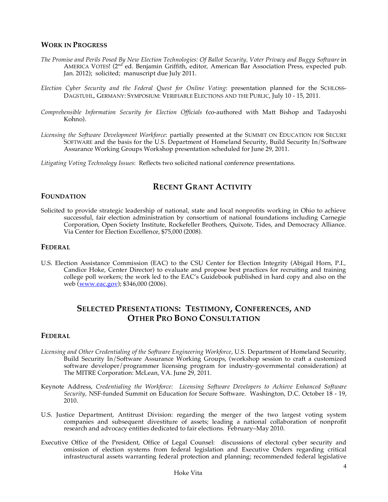#### **WORK IN PROGRESS**

- *The Promise and Perils Posed By New Election Technologies: Of Ballot Security, Voter Privacy and Buggy Software* in AMERICA VOTES! (2<sup>nd</sup> ed. Benjamin Griffith, editor, American Bar Association Press, expected pub. Jan. 2012); solicited; manuscript due July 2011.
- *Election Cyber Security and the Federal Quest for Online Voting*: presentation planned for the SCHLOSS-DAGSTUHL, GERMANY: SYMPOSIUM: VERIFIABLE ELECTIONS AND THE PUBLIC, July 10 - 15, 2011.
- *Comprehensible Information Security for Election Officials (*co-authored with Matt Bishop and Tadayoshi Kohno).
- *Licensing the Software Development Workforce*: partially presented at the SUMMIT ON EDUCATION FOR SECURE SOFTWARE and the basis for the U.S. Department of Homeland Security, Build Security In/Software Assurance Working Groups Workshop presentation scheduled for June 29, 2011.

*Litigating Voting Technology Issues*: Reflects two solicited national conference presentations.

## **RECENT GRANT ACTIVITY**

#### **FOUNDATION**

Solicited to provide strategic leadership of national, state and local nonprofits working in Ohio to achieve successful, fair election administration by consortium of national foundations including Carnegie Corporation, Open Society Institute, Rockefeller Brothers, Quixote, Tides, and Democracy Alliance. Via Center for Election Excellence, \$75,000 (2008).

#### **FEDERAL**

U.S. Election Assistance Commission (EAC) to the CSU Center for Election Integrity (Abigail Horn, P.I., Candice Hoke, Center Director) to evaluate and propose best practices for recruiting and training college poll workers; the work led to the EAC's Guidebook published in hard copy and also on the web (www.eac.gov);  $$346,000$  (2006).

## **SELECTED PRESENTATIONS: TESTIMONY, CONFERENCES, AND OTHER PRO BONO CONSULTATION**

#### **FEDERAL**

- *Licensing and Other Credentialing of the Software Engineering Workforce*, U.S. Department of Homeland Security, Build Security In/Software Assurance Working Groups, (workshop session to craft a customized software developer/programmer licensing program for industry-governmental consideration) at The MITRE Corporation: McLean, VA. June 29, 2011.
- Keynote Address, *Credentialing the Workforce: Licensing Software Developers to Achieve Enhanced Software Security,* NSF-funded Summit on Education for Secure Software. Washington, D.C. October 18 - 19, 2010.
- U.S. Justice Department, Antitrust Division: regarding the merger of the two largest voting system companies and subsequent divestiture of assets; leading a national collaboration of nonprofit research and advocacy entities dedicated to fair elections. February–May 2010.
- Executive Office of the President, Office of Legal Counsel: discussions of electoral cyber security and omission of election systems from federal legislation and Executive Orders regarding critical infrastructural assets warranting federal protection and planning; recommended federal legislative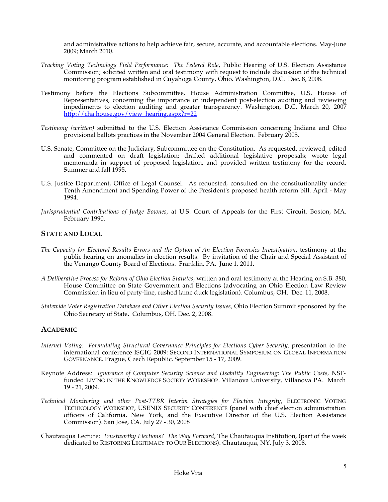and administrative actions to help achieve fair, secure, accurate, and accountable elections. May-June 2009; March 2010.

- *Tracking Voting Technology Field Performance: The Federal Role*, Public Hearing of U.S. Election Assistance Commission; solicited written and oral testimony with request to include discussion of the technical monitoring program established in Cuyahoga County, Ohio. Washington, D.C. Dec. 8, 2008.
- Testimony before the Elections Subcommittee, House Administration Committee, U.S. House of Representatives, concerning the importance of independent post-election auditing and reviewing impediments to election auditing and greater transparency. Washington, D.C. March 20, 2007 http://cha.house.gov/view\_hearing.aspx?r=22
- *Testimony (written)* submitted to the U.S. Election Assistance Commission concerning Indiana and Ohio provisional ballots practices in the November 2004 General Election. February 2005.
- U.S. Senate, Committee on the Judiciary, Subcommittee on the Constitution. As requested, reviewed, edited and commented on draft legislation; drafted additional legislative proposals; wrote legal memoranda in support of proposed legislation, and provided written testimony for the record. Summer and fall 1995.
- U.S. Justice Department, Office of Legal Counsel. As requested, consulted on the constitutionality under Tenth Amendment and Spending Power of the President's proposed health reform bill. April - May 1994.
- *Jurisprudential Contributions of Judge Bownes*, at U.S. Court of Appeals for the First Circuit. Boston, MA. February 1990.

#### **STATE AND LOCAL**

- *The Capacity for Electoral Results Errors and the Option of An Election Forensics Investigation*, testimony at the public hearing on anomalies in election results. By invitation of the Chair and Special Assistant of the Venango County Board of Elections. Franklin, PA. June 1, 2011.
- *A Deliberative Process for Reform of Ohio Election Statutes,* written and oral testimony at the Hearing on S.B. 380, House Committee on State Government and Elections (advocating an Ohio Election Law Review Commission in lieu of party-line, rushed lame duck legislation). Columbus, OH. Dec. 11, 2008.
- *Statewide Voter Registration Database and Other Election Security Issues,* Ohio Election Summit sponsored by the Ohio Secretary of State. Columbus, OH. Dec. 2, 2008.

#### **ACADEMIC**

- *Internet Voting: Formulating Structural Governance Principles for Elections Cyber Security,* presentation to the international conference ISGIG 2009: SECOND INTERNATIONAL SYMPOSIUM ON GLOBAL INFORMATION GOVERNANCE. Prague, Czech Republic. September 15 - 17, 2009.
- Keynote Address*: Ignorance of Computer Security Science and Usability Engineering: The Public Costs,* NSFfunded LIVING IN THE KNOWLEDGE SOCIETY WORKSHOP. Villanova University, Villanova PA. March 19 - 21, 2009.
- *Technical Monitoring and other Post-TTBR Interim Strategies for Election Integrity*, ELECTRONIC VOTING TECHNOLOGY WORKSHOP, USENIX SECURITY CONFERENCE (panel with chief election administration officers of California, New York, and the Executive Director of the U.S. Election Assistance Commission). San Jose, CA. July 27 - 30, 2008
- Chautauqua Lecture: *Trustworthy Elections? The Way Forward*, The Chautauqua Institution, (part of the week dedicated to RESTORING LEGITIMACY TO OUR ELECTIONS). Chautauqua, NY. July 3, 2008.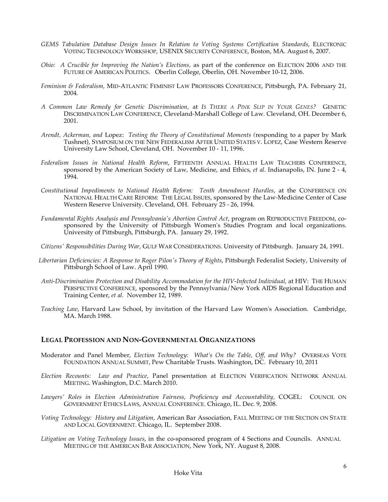- *GEMS Tabulation Database Design Issues In Relation to Voting Systems Certification Standards*, ELECTRONIC VOTING TECHNOLOGY WORKSHOP, USENIX SECURITY CONFERENCE, Boston, MA. August 6, 2007.
- *Ohio: A Crucible for Improving the Nation's Elections,* as part of the conference on ELECTION 2006 AND THE FUTURE OF AMERICAN POLITICS. Oberlin College, Oberlin, OH. November 10-12, 2006.
- *Feminism & Federalism,* MID-ATLANTIC FEMINIST LAW PROFESSORS CONFERENCE, Pittsburgh, PA. February 21, 2004*.*
- *A Common Law Remedy for Genetic Discrimination,* at *IS THERE A PINK SLIP IN YOUR GENES?* GENETIC DISCRIMINATION LAW CONFERENCE, Cleveland-Marshall College of Law. Cleveland, OH. December 6, 2001.
- *Arendt, Ackerman, and* Lopez: *Testing the Theory of Constitutional Moments (*responding to a paper by Mark Tushnet), SYMPOSIUM ON THE NEW FEDERALISM AFTER UNITED STATES V. LOPEZ, Case Western Reserve University Law School, Cleveland, OH. November 10 - 11, 1996.
- *Federalism Issues in National Health Reform*, FIFTEENTH ANNUAL HEALTH LAW TEACHERS CONFERENCE, sponsored by the American Society of Law, Medicine, and Ethics, *et al.* Indianapolis, IN. June 2 - 4, 1994.
- *Constitutional Impediments to National Health Reform: Tenth Amendment Hurdles*, at the CONFERENCE ON NATIONAL HEALTH CARE REFORM: THE LEGAL ISSUES, sponsored by the Law-Medicine Center of Case Western Reserve University. Cleveland, OH. February 25 - 26, 1994.
- *Fundamental Rights Analysis and Pennsylvania's Abortion Control Act*, program on REPRODUCTIVE FREEDOM, cosponsored by the University of Pittsburgh Women's Studies Program and local organizations. University of Pittsburgh, Pittsburgh, PA. January 29, 1992.
- *Citizens' Responsibilities During War*, GULF WAR CONSIDERATIONS. University of Pittsburgh. January 24, 1991.
- *Libertarian Deficiencies: A Response to Roger Pilon's Theory of Rights*, Pittsburgh Federalist Society, University of Pittsburgh School of Law. April 1990.
- *Anti-Discrimination Protection and Disability Accommodation for the HIV-Infected Individual,* at HIV: THE HUMAN PERSPECTIVE CONFERENCE, sponsored by the Pennsylvania/New York AIDS Regional Education and Training Center, *et al.* November 12, 1989.
- *Teaching Law*, Harvard Law School, by invitation of the Harvard Law Women's Association. Cambridge, MA. March 1988.

#### **LEGAL PROFESSION AND NON-GOVERNMENTAL ORGANIZATIONS**

- Moderator and Panel Member, *Election Technology: What's On the Table, Off, and Why?* OVERSEAS VOTE FOUNDATION ANNUAL SUMMIT, Pew Charitable Trusts. Washington, DC. February 10, 2011
- *Election Recounts: Law and Practice*, Panel presentation at ELECTION VERIFICATION NETWORK ANNUAL MEETING. Washington, D.C. March 2010.
- Lawyers' Roles in Election Administration Fairness, Proficiency and Accountability, COGEL: COUNCIL ON GOVERNMENT ETHICS LAWS, ANNUAL CONFERENCE. Chicago, IL. Dec. 9, 2008.
- *Voting Technology: History and Litigation*, American Bar Association, FALL MEETING OF THE SECTION ON STATE AND LOCAL GOVERNMENT. Chicago, IL. September 2008.
- *Litigation on Voting Technology Issues*, in the co-sponsored program of 4 Sections and Councils. ANNUAL MEETING OF THE AMERICAN BAR ASSOCIATION, New York, NY. August 8, 2008.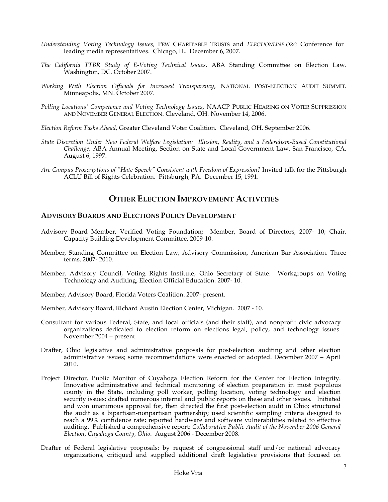- *Understanding Voting Technology Issues,* PEW CHARITABLE TRUSTS and *ELECTIONLINE.ORG* Conference for leading media representatives. Chicago, IL. December 6, 2007.
- *The California TTBR Study of E-Voting Technical Issues,* ABA Standing Committee on Election Law. Washington, DC. October 2007.
- *Working With Election Officials for Increased Transparency*, NATIONAL POST-ELECTION AUDIT SUMMIT. Minneapolis, MN. October 2007.
- *Polling Locations' Competence and Voting Technology Issues*, NAACP PUBLIC HEARING ON VOTER SUPPRESSION AND NOVEMBER GENERAL ELECTION. Cleveland, OH. November 14, 2006.
- *Election Reform Tasks Ahead*, Greater Cleveland Voter Coalition. Cleveland, OH. September 2006.
- *State Discretion Under New Federal Welfare Legislation: Illusion, Reality, and a Federalism-Based Constitutional Challenge*, ABA Annual Meeting, Section on State and Local Government Law. San Francisco, CA. August 6, 1997.
- *Are Campus Proscriptions of "Hate Speech" Consistent with Freedom of Expression?* Invited talk for the Pittsburgh ACLU Bill of Rights Celebration. Pittsburgh, PA. December 15, 1991.

## **OTHER ELECTION IMPROVEMENT ACTIVITIES**

#### **ADVISORY BOARDS AND ELECTIONS POLICY DEVELOPMENT**

- Advisory Board Member, Verified Voting Foundation; Member, Board of Directors, 2007- 10; Chair, Capacity Building Development Committee, 2009-10.
- Member, Standing Committee on Election Law, Advisory Commission, American Bar Association. Three terms, 2007- 2010.
- Member, Advisory Council, Voting Rights Institute, Ohio Secretary of State. Workgroups on Voting Technology and Auditing; Election Official Education. 2007- 10.
- Member, Advisory Board, Florida Voters Coalition. 2007- present.
- Member, Advisory Board, Richard Austin Election Center, Michigan. 2007 10.
- Consultant for various Federal, State, and local officials (and their staff), and nonprofit civic advocacy organizations dedicated to election reform on elections legal, policy, and technology issues. November 2004 – present.
- Drafter, Ohio legislative and administrative proposals for post-election auditing and other election administrative issues; some recommendations were enacted or adopted. December 2007 – April 2010.
- Project Director, Public Monitor of Cuyahoga Election Reform for the Center for Election Integrity. Innovative administrative and technical monitoring of election preparation in most populous county in the State, including poll worker, polling location, voting technology and election security issues; drafted numerous internal and public reports on these and other issues. Initiated and won unanimous approval for, then directed the first post-election audit in Ohio; structured the audit as a bipartisan-nonpartisan partnership; used scientific sampling criteria designed to reach a 99% confidence rate; reported hardware and software vulnerabilities related to effective auditing. Published a comprehensive report: *Collaborative Public Audit of the November 2006 General Election, Cuyahoga County, Ohio*. August 2006 - December 2008.
- Drafter of Federal legislative proposals: by request of congressional staff and/or national advocacy organizations, critiqued and supplied additional draft legislative provisions that focused on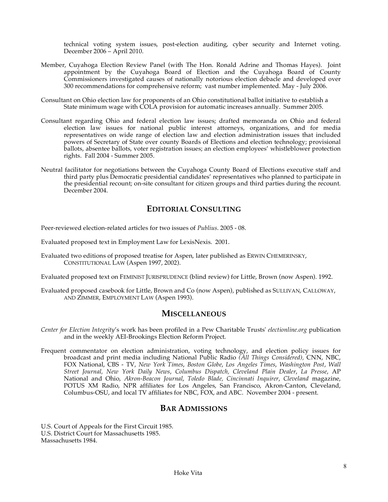technical voting system issues, post-election auditing, cyber security and Internet voting. December 2006 – April 2010.

- Member, Cuyahoga Election Review Panel (with The Hon. Ronald Adrine and Thomas Hayes). Joint appointment by the Cuyahoga Board of Election and the Cuyahoga Board of County Commissioners investigated causes of nationally notorious election debacle and developed over 300 recommendations for comprehensive reform; vast number implemented. May - July 2006.
- Consultant on Ohio election law for proponents of an Ohio constitutional ballot initiative to establish a State minimum wage with COLA provision for automatic increases annually. Summer 2005.
- Consultant regarding Ohio and federal election law issues; drafted memoranda on Ohio and federal election law issues for national public interest attorneys, organizations, and for media representatives on wide range of election law and election administration issues that included powers of Secretary of State over county Boards of Elections and election technology; provisional ballots, absentee ballots, voter registration issues; an election employees' whistleblower protection rights. Fall 2004 - Summer 2005.
- Neutral facilitator for negotiations between the Cuyahoga County Board of Elections executive staff and third party plus Democratic presidential candidates' representatives who planned to participate in the presidential recount; on-site consultant for citizen groups and third parties during the recount. December 2004.

## **EDITORIAL CONSULTING**

Peer-reviewed election-related articles for two issues of *Publius*. 2005 - 08.

Evaluated proposed text in Employment Law for LexisNexis. 2001.

Evaluated two editions of proposed treatise for Aspen, later published as ERWIN CHEMERINSKY, CONSTITUTIONAL LAW (Aspen 1997, 2002).

Evaluated proposed text on FEMINIST JURISPRUDENCE (blind review) for Little, Brown (now Aspen). 1992.

Evaluated proposed casebook for Little, Brown and Co (now Aspen), published as SULLIVAN, CALLOWAY, AND ZIMMER, EMPLOYMENT LAW (Aspen 1993).

#### **MISCELLANEOUS**

- *Center for Election Integrity*'s work has been profiled in a Pew Charitable Trusts' *electionline.org* publication and in the weekly AEI-Brookings Election Reform Project.
- Frequent commentator on election administration, voting technology, and election policy issues for broadcast and print media including National Public Radio *(All Things Considered),* CNN, NBC, FOX National, CBS - TV, *New York Times*, *Boston Globe*, *Los Angeles Times*, *Washington Post*, *Wall Street Journal, New York Daily News*, *Columbus Dispatch, Cleveland Plain Dealer*, *La Presse*, AP National and Ohio, *Akron-Beacon Journal*, *Toledo Blade, Cincinnati Inquirer*, *Cleveland* magazine, POTUS XM Radio, NPR affiliates for Los Angeles, San Francisco, Akron-Canton, Cleveland, Columbus-OSU, and local TV affiliates for NBC, FOX, and ABC. November 2004 - present.

### **BAR ADMISSIONS**

U.S. Court of Appeals for the First Circuit 1985. U.S. District Court for Massachusetts 1985. Massachusetts 1984.